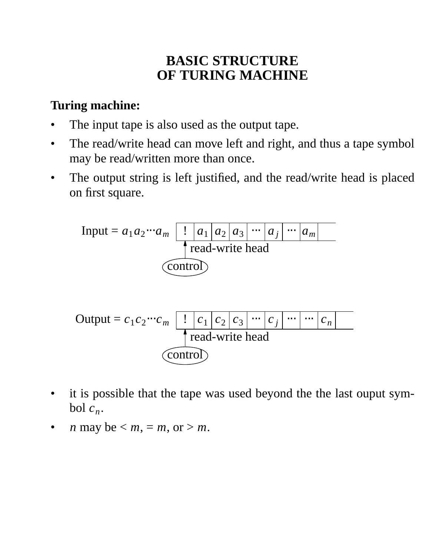# **BASIC STRUCTURE OF TURING MACHINE**

#### **Turing machine:**

- The input tape is also used as the output tape.
- The read/write head can move left and right, and thus a tape symbol may be read/written more than once.
- The output string is left justified, and the read/write head is placed on first square.



- it is possible that the tape was used beyond the the last ouput symbol  $c_n$ .
- *n* may be  $\leq m$ ,  $= m$ , or  $> m$ .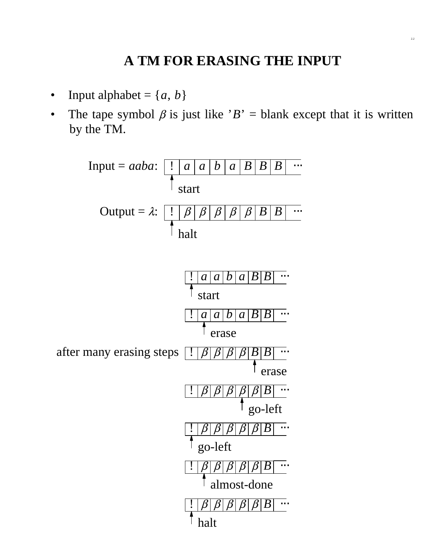# **A TM FOR ERASING THE INPUT**

2.2

- Input alphabet =  $\{a, b\}$
- The tape symbol  $\beta$  is just like ' $B'$  = blank except that it is written by the TM.

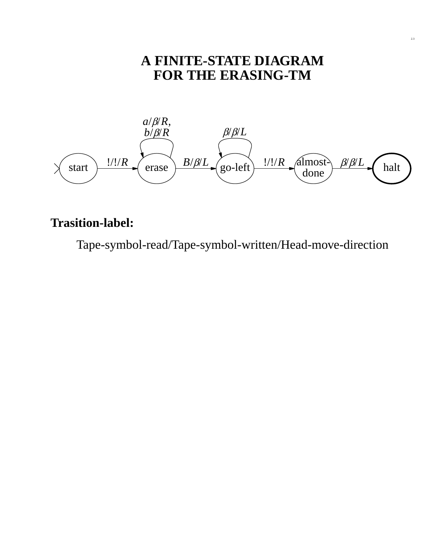# **A FINITE-STATE DIAGRAM FOR THE ERASING-TM**



#### **Trasition-label:**

Tape-symbol-read/Tape-symbol-written/Head-move-direction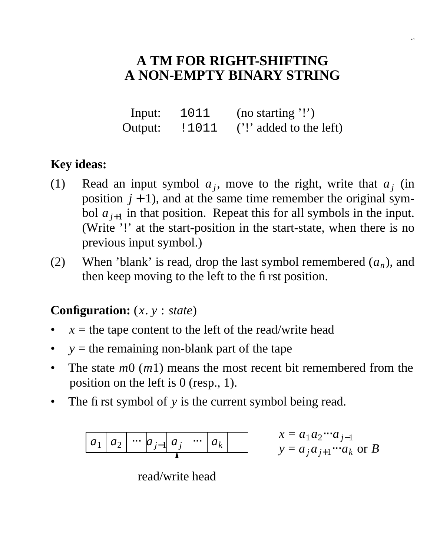# **A TM FOR RIGHT-SHIFTING A NON-EMPTY BINARY STRING**

2.4

Input: 1011 (no starting '!') Output:  $\,$  ! 1011 ('!' added to the left)

#### **Key ideas:**

- (1) Read an input symbol  $a_j$ , move to the right, write that  $a_j$  (in position  $j + 1$ ), and at the same time remember the original symbol  $a_{j+1}$  in that position. Repeat this for all symbols in the input. (Write '!' at the start-position in the start-state, when there is no previous input symbol.)
- (2) When 'blank' is read, drop the last symbol remembered  $(a_n)$ , and then keep moving to the left to the first position.

#### **Configuration:** (*x*. *y* : *state*)

- $x =$  the tape content to the left of the read/write head
- $y =$  the remaining non-blank part of the tape
- The state *m*0 (*m*1) means the most recent bit remembered from the position on the left is 0 (resp., 1).
- The first symbol of *y* is the current symbol being read.

*a*<sup>1</sup> *a*<sup>2</sup> ⋅⋅⋅ *a <sup>j</sup>*−<sup>1</sup> *a <sup>j</sup>* ⋅⋅⋅ *a<sup>k</sup>* read/write head *x* = *a*1*a*<sup>2</sup> ⋅⋅⋅*a <sup>j</sup>*−<sup>1</sup> *y* = *a <sup>j</sup>a <sup>j</sup>*+<sup>1</sup> ⋅⋅⋅*a<sup>k</sup>* or *B*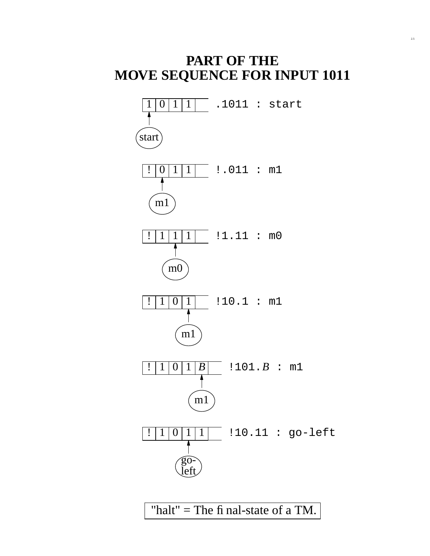#### **PART OF THE MOVE SEQUENCE FOR INPUT 1011**



"halt" = The fi nal-state of a TM.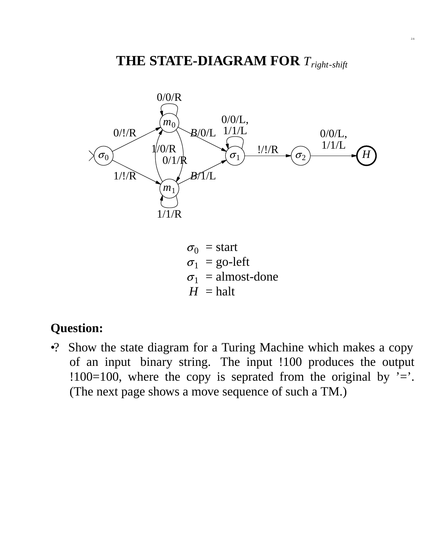

 $\sigma_0$  = start  $\sigma_1$  = go-left  $\sigma_1$  = almost-done  $H =$ halt

#### **Question:**

•? Show the state diagram for a Turing Machine which makes a copy of an input binary string. The input !100 produces the output !100=100, where the copy is seprated from the original by  $\equiv$ . (The next page shows a move sequence of such a TM.)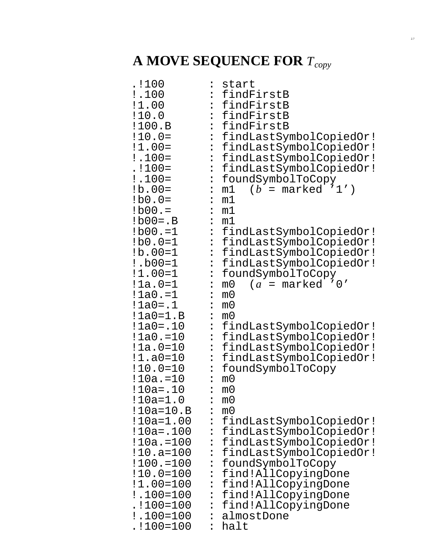# **A MOVE SEQUENCE FOR** *Tcopy*

2.7

| .!100         | $\ddot{\cdot}$ | start                               |
|---------------|----------------|-------------------------------------|
| !.100         |                | findFirstB                          |
| !1.00         |                | : findFirstB                        |
| :10.0         |                | : findFirstB                        |
| !100.B        | $\ddot{\cdot}$ | findFirstB                          |
| $: 10.0 =$    | $\ddot{\cdot}$ | findLastSymbolCopiedOr!             |
| $!1.00=$      | $\ddot{\cdot}$ | findLastSymbolCopiedOr!             |
| $! .100 =$    | $\ddot{\cdot}$ | findLastSymbolCopiedOr!             |
| $.1100=$      | $\ddot{\cdot}$ | findLastSymbolCopiedOr!             |
| $: .100 =$    | $\ddot{\cdot}$ | foundSymbolToCopy                   |
| $1b.00=$      | $\ddot{\cdot}$ | $(b = \text{marked '1'})$<br>m1     |
| $1b0.0=$      | :              | m1                                  |
| $:$ b00. $=$  | $\ddot{\cdot}$ | m1                                  |
| $1b00 = .B$   | $\ddot{\cdot}$ | m1                                  |
| $:$ b00. $=1$ | $\ddot{\cdot}$ | findLastSymbolCopiedOr!             |
| $:$ b0.0=1    |                | : findLastSymbolCopiedOr!           |
| $1b.00=1$     | $\ddot{\cdot}$ | findLastSymbolCopiedOr!             |
| $:$ $b00=1$   | $\ddot{\cdot}$ | findLastSymbolCopiedOr!             |
| $:1.00 = 1$   | $\ddot{\cdot}$ | foundSymbolToCopy                   |
| $:1a.0=1$     | $\ddot{\cdot}$ | $(a = marked '0'$<br>m <sub>0</sub> |
| $:1a0.-1$     | $\ddot{\cdot}$ | m0                                  |
| $!1a0 = .1$   | $\ddot{\cdot}$ | m0                                  |
| $!1a0=1.B$    | :              | m0                                  |
| $!1a0 = .10$  | $\ddot{\cdot}$ | findLastSymbolCopiedOr!             |
| $:1a0.-10$    | $\ddot{\cdot}$ | findLastSymbolCopiedOr!             |
| $!1a.0 = 10$  | $\ddot{\cdot}$ | findLastSymbolCopiedOr!             |
| $:1.a0=10$    | $\ddot{\cdot}$ | findLastSymbolCopiedOr!             |
| $:10.0 = 10$  | $\ddot{\cdot}$ | foundSymbolToCopy                   |
| $!10a.-10$    | $\ddot{\cdot}$ | m <sub>0</sub>                      |
| !10a=.10      | :              | m <sub>0</sub>                      |
| $:10a = 1.0$  |                | m <sub>0</sub>                      |
| $!10a = 10.B$ |                | m <sub>0</sub>                      |
| !10a=1.00     | $\ddot{\cdot}$ | findLastSymbolCopiedOr!             |
| !10a=.100     |                | findLastSymbolCopiedOr!             |
| !10a.=100     | :              | findLastSymbolCopiedOr!             |
| $:10.a = 100$ |                | findLastSymbolCopiedOr!             |
| $:100.-100$   | $\ddot{\cdot}$ | foundSymbolToCopy                   |
| $:10.0=100$   |                | find!AllCopyingDone                 |
| $:1.00 = 100$ | $\ddot{\cdot}$ | find!AllCopyingDone                 |
| $:100=100$    | $\ddot{\cdot}$ | find!AllCopyingDone                 |
| $.1100 = 100$ | $\ddot{\cdot}$ | find!AllCopyingDone                 |
| $:100=100$    |                | almostDone                          |
| $.1100 = 100$ |                | halt                                |
|               |                |                                     |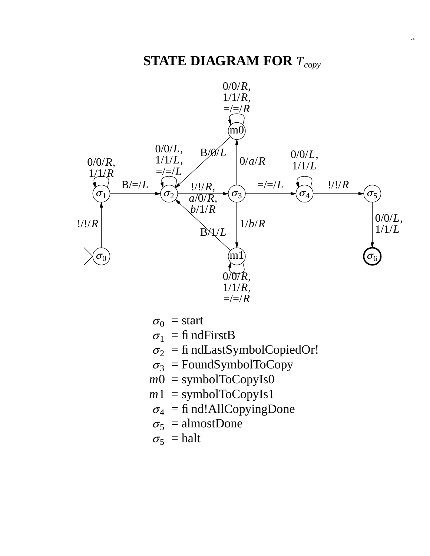

- $\sigma_0$  = start
- $\sigma_1$  = findFirstB
- $\sigma_2$  = fi ndLastSymbolCopiedOr!
- $\sigma_3$  = FoundSymbolToCopy
- $m0 =$ symbolToCopyIs0
- $m1$  = symbolToCopyIs1
- $\sigma_4$  = fi nd!AllCopyingDone
- $\sigma_5$  = almostDone
- $\sigma_5$  = halt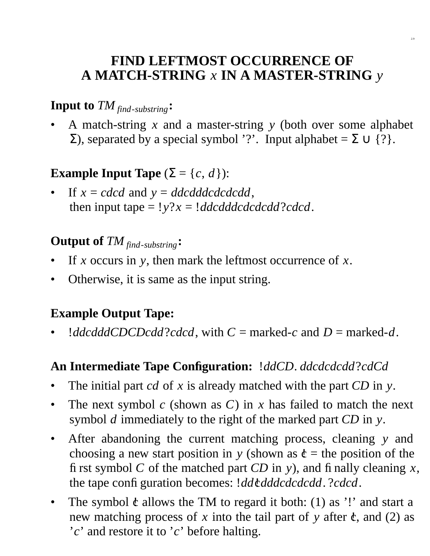#### **FIND LEFTMOST OCCURRENCE OF A MATCH-STRING** *x* **IN A MASTER-STRING** *y*

2.9

#### **Input to** *TM find*-*substring***:**

• A match-string *x* and a master-string *y* (both over some alphabet  $Σ$ ), separated by a special symbol '?'. Input alphabet =  $Σ ∪$  {?}.

# **Example Input Tape**  $(\Sigma = \{c, d\})$ :

If  $x = c \cdot d$  and  $y = d \cdot d \cdot d \cdot d \cdot d \cdot d \cdot d$ , then input tape =  $!y$ ? $x = !ddcdddcdcdcd$ ?*cdcd*.

#### **Output of** *TM find*-*substring***:**

- If *x* occurs in *y*, then mark the leftmost occurrence of *x*.
- Otherwise, it is same as the input string.

#### **Example Output Tape:**

*lddcdddCDCDcdd?cdcd*, with  $C =$  marked-*c* and  $D =$  marked-*d*.

#### **An Intermediate Tape Configuration:** !*ddCD*. *ddcdcdcdd*?*cdCd*

- The initial part *cd* of *x* is already matched with the part *CD* in *y*.
- The next symbol *c* (shown as *C*) in *x* has failed to match the next symbol *d* immediately to the right of the marked part *CD* in *y*.
- After abandoning the current matching process, cleaning *y* and choosing a new start position in *y* (shown as  $\dot{\mathbf{c}}$  = the position of the first symbol *C* of the matched part *CD* in *y*), and finally cleaning *x*, the tape configuration becomes: *!dd\dddcdcdcdd.* ?*cdcd.*
- The symbol  $\dot{\mathcal{C}}$  allows the TM to regard it both: (1) as '!' and start a new matching process of  $x$  into the tail part of  $y$  after  $\dot{\mathbf{c}}$ , and (2) as '*c*' and restore it to '*c*' before halting.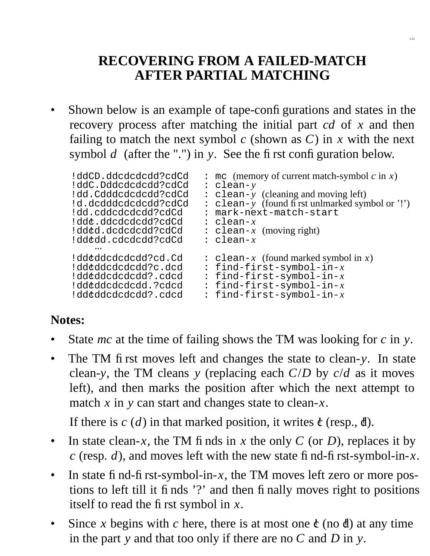# **RECOVERING FROM A FAILED-MATCH AFTER PARTIAL MATCHING**

Shown below is an example of tape-configurations and states in the recovery process after matching the initial part *cd* of *x* and then failing to match the next symbol  $c$  (shown as  $C$ ) in  $x$  with the next symbol  $d$  (after the ".") in  $y$ . See the first configuration below.

```
!ddCD.ddcdcdcdd?cdCd : mc (memory of current match-symbol c in x)<br>!ddC.Dddcdcdcdd?cdCd : clean-y
!ddC.Dddcdcdcdd?cdCd : clean-y
!dd.Cdddcdcdcdd?cdCd : clean-y (cleaning and moving left)
!d.dcdddcdcdcdd?cdCd : clean-y (found first unlmarked symbol or '!')<br>!dd.cddcdcdcdd?cdCd : mark-next-match-start
                                        : mark-next-match-start<br>: clean-x
!ddc!.ddcdcdcdd?cdCd : clean-x
                                        : \text{clean-}x \text{ (moving right)}<br>: \text{clean-}x!ddc!dd.cdcdcdd?cdCd : clean-x
       ⋅⋅⋅
!dd¢ddcdcdcdd?cd.Cd : clean-x (found marked symbolin x)<br>!dd¢ddcdcdcdd?c.dcd : find-first-symbol-in-x
!dd¢ddcdcdcdd?c.dcd : find-first-symbol-in-x<br>!dd¢ddcdcdcdd?.cdcd : find-first-symbol-in-x
!dd¢ddcdcdcdd?.cdcd : find-first-symbol-in-x<br>!dd¢ddcdcdcdd.?cdcd : find-first-symbol-in-x
!dd¢ddcdcdcdd.?cdcd : find-first-symbol-in-x<br>!dd¢ddcdcdcdd?.cdcd : find-first-symbol-in-x
                                        : find-first-symbol-in-x
```
#### **Notes:**

- State *mc* at the time of failing shows the TM was looking for *c* in *y*.
- The TM first moves left and changes the state to clean-*y*. In state clean-*y*, the TM cleans *y* (replacing each *C*/*D* by *c*/*d* as it moves left), and then marks the position after which the next attempt to match *x* in *y* can start and changes state to clean-*x*.

If there is  $c(d)$  in that marked position, it writes  $\mathfrak{e}$  (resp.,  $\mathfrak{d}$ ).

- In state clean-*x*, the TM finds in *x* the only *C* (or *D*), replaces it by *c* (resp. *d*), and moves left with the new state find-first-symbol-in-*x*.
- In state find-first-symbol-in- $x$ , the TM moves left zero or more postions to left till it finds '?' and then finally moves right to positions itself to read the first symbol in *x*.
- Since x begins with c here, there is at most one  $\dot{\mathfrak{c}}$  (no d) at any time in the part *y* and that too only if there are no *C* and *D* in *y*.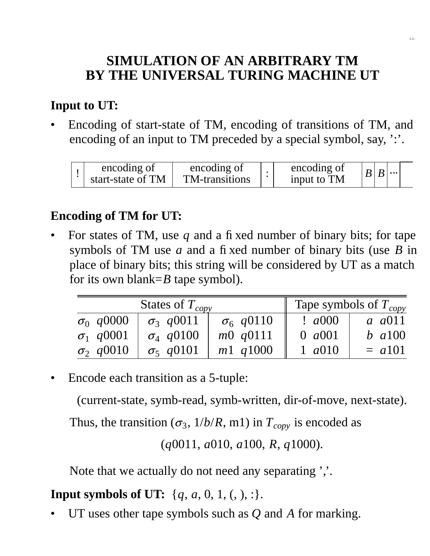# **SIMULATION OF AN ARBITRARY TM BY THE UNIVERSAL TURING MACHINE UT**

#### **Input to UT:**

• Encoding of start-state of TM, encoding of transitions of TM, and encoding of an input to TM preceded by a special symbol, say, ':'.

| encoding of<br>start-state of TM | encoding of<br>TM-transitions | encoding of<br>input to TM | $B B $ |  |
|----------------------------------|-------------------------------|----------------------------|--------|--|
|                                  |                               |                            |        |  |

#### **Encoding of TM for UT:**

• For states of TM, use *q* and a fixed number of binary bits; for tape symbols of TM use *a* and a fixed number of binary bits (use *B* in place of binary bits; this string will be considered by UT as a match for its own blank=*B* tape symbol).

| States of $T_{copy}$ |                               |                  | Tape symbols of $T_{copy}$ |                |  |
|----------------------|-------------------------------|------------------|----------------------------|----------------|--|
| $\sigma_0$ q0000     | $\sigma_3$ q0011              | $\sigma_6$ q0110 | $\frac{1}{2}$ a000         | <i>a a</i> 011 |  |
| $\sigma_1$ q0001     | $\sigma$ <sub>4</sub> $q0100$ | m0 q0111         | 0 $a001$                   | $b$ a 100      |  |
| $\sigma_2$ q0010     | $\sigma_5$ q0101              | $m1$ $q1000$     | 1 $a010$                   | $= a101$       |  |

Encode each transition as a 5-tuple:

(current-state, symb-read, symb-written, dir-of-move, next-state).

Thus, the transition ( $\sigma_3$ ,  $1/b/R$ , m1) in  $T_{copy}$  is encoded as

(*q*0011, *a*010, *a*100, *R*, *q*1000).

Note that we actually do not need any separating '...

#### **Input symbols of UT:**  $\{q, a, 0, 1, (,), : \}.$

• UT uses other tape symbols such as *Q* and *A* for marking.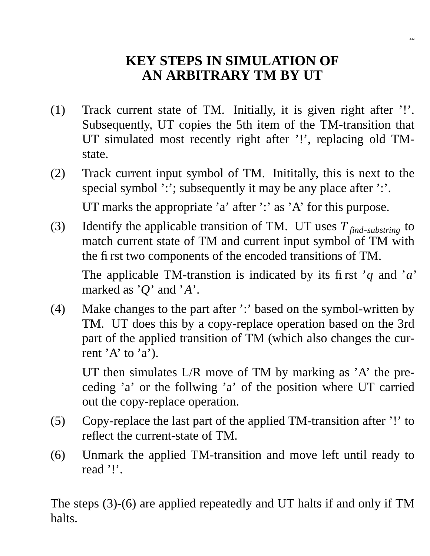#### **KEY STEPS IN SIMULATION OF AN ARBITRARY TM BY UT**

- (1) Track current state of TM. Initially, it is given right after  $'$ !'. Subsequently, UT copies the 5th item of the TM-transition that UT simulated most recently right after '!', replacing old TMstate.
- (2) Track current input symbol of TM. Inititally, this is next to the special symbol ':'; subsequently it may be any place after ':'. UT marks the appropriate 'a' after ':' as 'A' for this purpose.
- (3) Identify the applicable transition of TM. UT uses *T find*-*substring* to match current state of TM and current input symbol of TM with the first two components of the encoded transitions of TM.

The applicable TM-transtion is indicated by its first '*q* and '*a*' marked as '*Q*' and '*A*'.

(4) Make changes to the part after ':' based on the symbol-written by TM. UT does this by a copy-replace operation based on the 3rd part of the applied transition of TM (which also changes the current 'A' to 'a').

UT then simulates L/R move of TM by marking as 'A' the preceding 'a' or the follwing 'a' of the position where UT carried out the copy-replace operation.

- (5) Copy-replace the last part of the applied TM-transition after '!' to reflect the current-state of TM.
- (6) Unmark the applied TM-transition and move left until ready to read '!'.

The steps (3)-(6) are applied repeatedly and UT halts if and only if TM halts.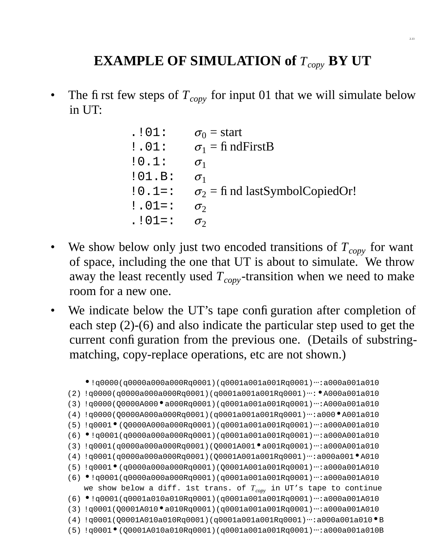# **EXAMPLE OF SIMULATION of** *Tcopy* **BY UT**

The first few steps of  $T_{copy}$  for input 01 that we will simulate below in UT:

| . 101:         | $\sigma_0$ = start                     |
|----------------|----------------------------------------|
| $! \cdot 01$ : | $\sigma_1 = \text{fi}$ nd First B      |
| :0.1:          | $\sigma_1$                             |
| :01.B:         | $\sigma_1$                             |
| $:0.1=$        | $\sigma_2$ = fi nd lastSymbolCopiedOr! |
| $: .01 = :$    | $\sigma_2$                             |
| $. 101 = :$    | $\sigma$                               |
|                |                                        |

- We show below only just two encoded transitions of  $T_{copy}$  for want of space, including the one that UT is about to simulate. We throw away the least recently used  $T_{copy}$ -transition when we need to make room for a new one.
- We indicate below the UT's tape configuration after completion of each step (2)-(6) and also indicate the particular step used to get the current configuration from the previous one. (Details of substringmatching, copy-replace operations, etc are not shown.)

```
•!q0000(q0000a000a000Rq0001)(q0001a001a001Rq0001)⋅⋅⋅:a000a001a010
(2) !q0000(q0000a000a000Rq0001)(q0001a001a001Rq0001)⋅⋅⋅:•A000a001a010
(3) !q0000(Q0000A000•a000Rq0001)(q0001a001a001Rq0001)⋅⋅⋅:A000a001a010
(4) !q0000(Q0000A000a000Rq0001)(q0001a001a001Rq0001)⋅⋅⋅:a000•A001a010
(5) !q0001•(Q0000A000a000Rq0001)(q0001a001a001Rq0001)⋅⋅⋅:a000A001a010
(6) •!q0001(q0000a000a000Rq0001)(q0001a001a001Rq0001)⋅⋅⋅:a000A001a010
(3) !q0001(q0000a000a000Rq0001)(Q0001A001•a001Rq0001)⋅⋅⋅:a000A001a010
(4) !q0001(q0000a000a000Rq0001)(Q0001A001a001Rq0001)⋅⋅⋅:a000a001•A010
(5) !q0001•(q0000a000a000Rq0001)(Q0001A001a001Rq0001)⋅⋅⋅:a000a001A010
(6) •!q0001(q0000a000a000Rq0001)(q0001a001a001Rq0001)⋅⋅⋅:a000a001A010
   we show below a diff. 1st trans. of Tcopy in UT's tape to continue
(6) •!q0001(q0001a010a010Rq0001)(q0001a001a001Rq0001)⋅⋅⋅:a000a001A010
(3) !q0001(Q0001A010•a010Rq0001)(q0001a001a001Rq0001)⋅⋅⋅:a000a001A010
(4) !q0001(Q0001A010a010Rq0001)(q0001a001a001Rq0001)⋅⋅⋅:a000a001a010•B
(5) !q0001•(Q0001A010a010Rq0001)(q0001a001a001Rq0001)⋅⋅⋅:a000a001a010B
```